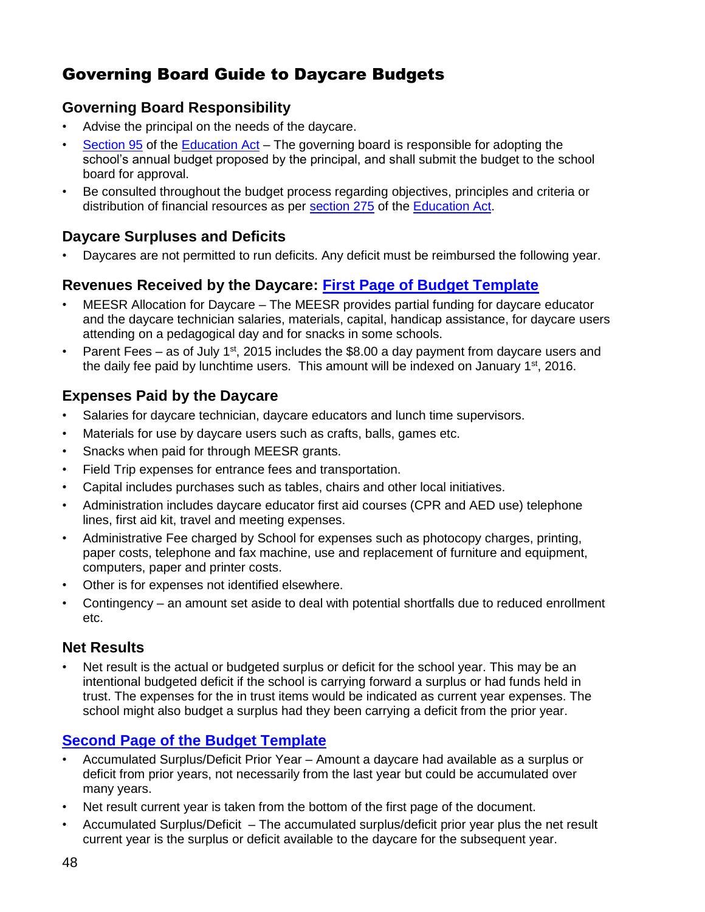# Governing Board Guide to Daycare Budgets

## **Governing Board Responsibility**

- Advise the principal on the needs of the daycare.
- [Section 95](http://www2.publicationsduquebec.gouv.qc.ca/dynamicSearch/telecharge.php?type=2&file=/I_13_3/I13_3_A.html#s95) of the [Education Act](http://www2.publicationsduquebec.gouv.qc.ca/dynamicSearch/telecharge.php?type=2&file=/I_13_3/I13_3_A.html) The governing board is responsible for adopting the school's annual budget proposed by the principal, and shall submit the budget to the school board for approval.
- Be consulted throughout the budget process regarding objectives, principles and criteria or distribution of financial resources as per [section 275](http://www2.publicationsduquebec.gouv.qc.ca/dynamicSearch/telecharge.php?type=2&file=/I_13_3/I13_3_A.html#s275) of the [Education Act.](http://www2.publicationsduquebec.gouv.qc.ca/dynamicSearch/telecharge.php?type=2&file=/I_13_3/I13_3_A.html)

## **Daycare Surpluses and Deficits**

• Daycares are not permitted to run deficits. Any deficit must be reimbursed the following year.

### **Revenues Received by the Daycare: [First Page of Budget Template](#page-1-0)**

- MEESR Allocation for Daycare The MEESR provides partial funding for daycare educator and the daycare technician salaries, materials, capital, handicap assistance, for daycare users attending on a pedagogical day and for snacks in some schools.
- Parent Fees as of July 1<sup>st</sup>, 2015 includes the \$8.00 a day payment from daycare users and the daily fee paid by lunchtime users. This amount will be indexed on January  $1<sup>st</sup>$ , 2016.

## **Expenses Paid by the Daycare**

- Salaries for daycare technician, daycare educators and lunch time supervisors.
- Materials for use by daycare users such as crafts, balls, games etc.
- Snacks when paid for through MEESR grants.
- Field Trip expenses for entrance fees and transportation.
- Capital includes purchases such as tables, chairs and other local initiatives.
- Administration includes daycare educator first aid courses (CPR and AED use) telephone lines, first aid kit, travel and meeting expenses.
- Administrative Fee charged by School for expenses such as photocopy charges, printing, paper costs, telephone and fax machine, use and replacement of furniture and equipment, computers, paper and printer costs.
- Other is for expenses not identified elsewhere.
- Contingency an amount set aside to deal with potential shortfalls due to reduced enrollment etc.

### **Net Results**

Net result is the actual or budgeted surplus or deficit for the school year. This may be an intentional budgeted deficit if the school is carrying forward a surplus or had funds held in trust. The expenses for the in trust items would be indicated as current year expenses. The school might also budget a surplus had they been carrying a deficit from the prior year.

# **[Second Page of the](#page-2-0) Budget Template**

- Accumulated Surplus/Deficit Prior Year Amount a daycare had available as a surplus or deficit from prior years, not necessarily from the last year but could be accumulated over many years.
- Net result current year is taken from the bottom of the first page of the document.
- Accumulated Surplus/Deficit The accumulated surplus/deficit prior year plus the net result current year is the surplus or deficit available to the daycare for the subsequent year.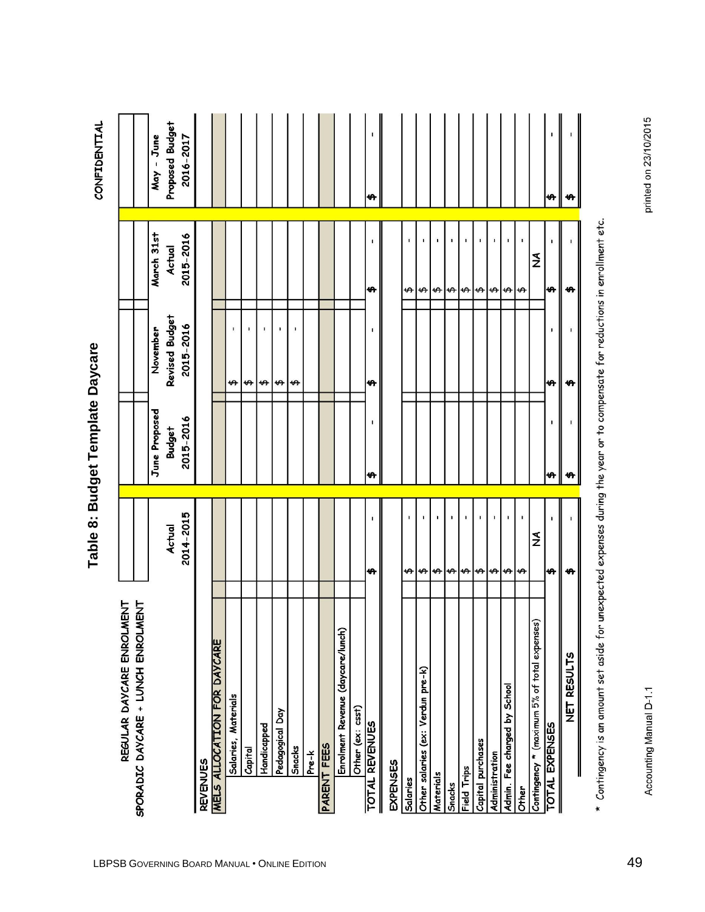<span id="page-1-0"></span>

|                                                                 |                     | lable 8: Budget lembiate Daycare |                             |                     | <b>CONFIDENTIAL</b>          |
|-----------------------------------------------------------------|---------------------|----------------------------------|-----------------------------|---------------------|------------------------------|
| SPORADIC DAYCARE + LUNCH ENROLMENT<br>REGULAR DAYCARE ENROLMENT |                     |                                  |                             |                     |                              |
|                                                                 |                     | June Proposed                    | November                    | March 31st          | - June<br>May                |
|                                                                 | 2014-2015<br>Actual | 2015-2016<br>Budget              | Revised Budget<br>2015-2016 | 2015-2016<br>Actual | Proposed Budget<br>2016-2017 |
| <b>REVENUES</b>                                                 |                     |                                  |                             |                     |                              |
| MELS ALLOCATION FOR DAYCARE                                     |                     |                                  |                             |                     |                              |
| Salaries, Materials                                             |                     |                                  | $\mathbf{I}$<br>↮           |                     |                              |
| Capital                                                         |                     |                                  | \$                          |                     |                              |
| Handicapped                                                     |                     |                                  | ï<br>$\rightarrow$          |                     |                              |
| Pedagogical Day                                                 |                     |                                  | $ \boldsymbol{\varphi} $ of |                     |                              |
| Snacks                                                          |                     |                                  | ı.                          |                     |                              |
| Pre-k                                                           |                     |                                  |                             |                     |                              |
| <b>PARENT FEES</b>                                              |                     |                                  |                             |                     |                              |
| Enrolment Revenue (daycare/lunch)                               |                     |                                  |                             |                     |                              |
| Other (ex: csst)                                                |                     |                                  |                             |                     |                              |
| <b>TOTAL REVENUES</b>                                           | ₩                   | ₩                                | ₩                           | ₩                   | ↮                            |
| EXPENSES                                                        |                     |                                  |                             |                     |                              |
| Salaries                                                        | $\mathbf{I}$<br>↮   |                                  |                             | ı<br>↮              |                              |
| Other salaries (ex: Verdun pre-k)                               | ↮                   |                                  |                             | ↮                   |                              |
| Materials                                                       | ÷.<br>$\frac{1}{2}$ |                                  |                             | $\theta$ $\theta$   |                              |
| Snacks                                                          |                     |                                  |                             |                     |                              |
| Field Trips                                                     |                     |                                  |                             |                     |                              |
| Capital purchases                                               | $\bigoplus$         |                                  |                             | $\rightarrow$       |                              |
| Administration                                                  | $\biguplus$         |                                  |                             | $\biguplus$         |                              |
| Admin. Fee charged by School                                    | $\bigoplus$         |                                  |                             | $\rightarrow$       |                              |
| Other                                                           | $\rightarrow$       |                                  |                             | ↮                   |                              |
| Contingency * (maximum 5% of total expenses)                    | $\frac{1}{2}$       |                                  |                             | $\mathbf{\Sigma}$   |                              |
| <b>TOTAL EXPENSES</b>                                           | ↮                   | ₩                                | ٠<br>₩                      | ₩                   | ₩                            |
| NET RESULTS                                                     | ₩                   | ₩                                | ₩                           | ↮                   | ₩                            |

 $^\star$  Contingency is an amount set aside for unexpected expenses during the year or to compensate for reductions in enrollment etc.

**Table 8: Budget Template Daycare 8: Budget Template Daycare**

Accounting Manual D-1.1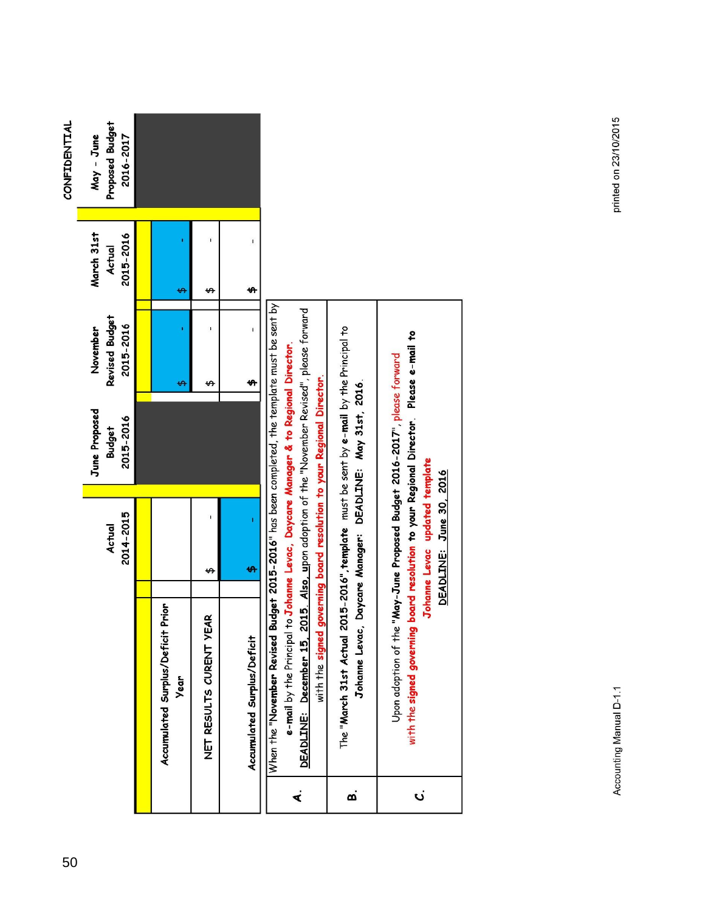<span id="page-2-0"></span>

| <b>CONFIDENTIAL</b> | Proposed Budget<br>May - June<br>2016-2017 |                                                       |                         |                             |                                                                                                                                                                                                                    |                                                                                     |                                                                                                                                                                     |
|---------------------|--------------------------------------------|-------------------------------------------------------|-------------------------|-----------------------------|--------------------------------------------------------------------------------------------------------------------------------------------------------------------------------------------------------------------|-------------------------------------------------------------------------------------|---------------------------------------------------------------------------------------------------------------------------------------------------------------------|
|                     |                                            |                                                       |                         |                             |                                                                                                                                                                                                                    |                                                                                     |                                                                                                                                                                     |
|                     |                                            |                                                       |                         | $\mathbf{I}$                |                                                                                                                                                                                                                    |                                                                                     |                                                                                                                                                                     |
|                     | March 31st<br>2015-2016<br>Actual          |                                                       |                         |                             |                                                                                                                                                                                                                    |                                                                                     |                                                                                                                                                                     |
|                     |                                            | ₩                                                     | ↮                       | ₩                           |                                                                                                                                                                                                                    |                                                                                     |                                                                                                                                                                     |
|                     |                                            |                                                       |                         | $\mathbf{I}$                |                                                                                                                                                                                                                    |                                                                                     |                                                                                                                                                                     |
|                     | Revised Budget<br>2015-2016<br>November    |                                                       |                         |                             |                                                                                                                                                                                                                    |                                                                                     |                                                                                                                                                                     |
|                     |                                            | ↮                                                     | ↮                       | 49                          |                                                                                                                                                                                                                    |                                                                                     |                                                                                                                                                                     |
|                     | June Proposed<br>2015-2016<br>Budget       |                                                       |                         |                             | Budget 2015-2016" has been completed, the template must be sent by<br>2015. Also, upon adoption of the "November Revised", please forward                                                                          | 2015-2016", template must be sent by e-mail by the Principal to                     |                                                                                                                                                                     |
|                     |                                            |                                                       |                         |                             |                                                                                                                                                                                                                    |                                                                                     |                                                                                                                                                                     |
|                     | 2014-2015<br>Actual                        |                                                       |                         | ī                           |                                                                                                                                                                                                                    |                                                                                     | Johanne Levac updated template<br>DEADLINE: June 30, 2016                                                                                                           |
|                     |                                            |                                                       |                         | ₩                           |                                                                                                                                                                                                                    |                                                                                     |                                                                                                                                                                     |
|                     |                                            |                                                       | ↮                       |                             |                                                                                                                                                                                                                    |                                                                                     |                                                                                                                                                                     |
|                     |                                            | - Prior<br>Accumulated Surplus/Deficit<br><b>Year</b> | NET RESULTS CURENT YEAR | Accumulated Surplus/Deficit | e-mail by the Principal to Johanne Levac, Daycare Manager & to Regional Director.<br>with the signed governing board resolution to your Regional Director.<br>When the "November Revised<br>DEADLINE: December 15, | Johanne Levac, Daycare Manager: DEADLINE: May 31st, 2016.<br>The "March 31st Actual | with the signed governing board resolution to your Regional Director. Please e-mail to<br>Upon adoption of the "May-June Proposed Budget 2016-2017", please forward |
|                     |                                            |                                                       |                         |                             |                                                                                                                                                                                                                    |                                                                                     |                                                                                                                                                                     |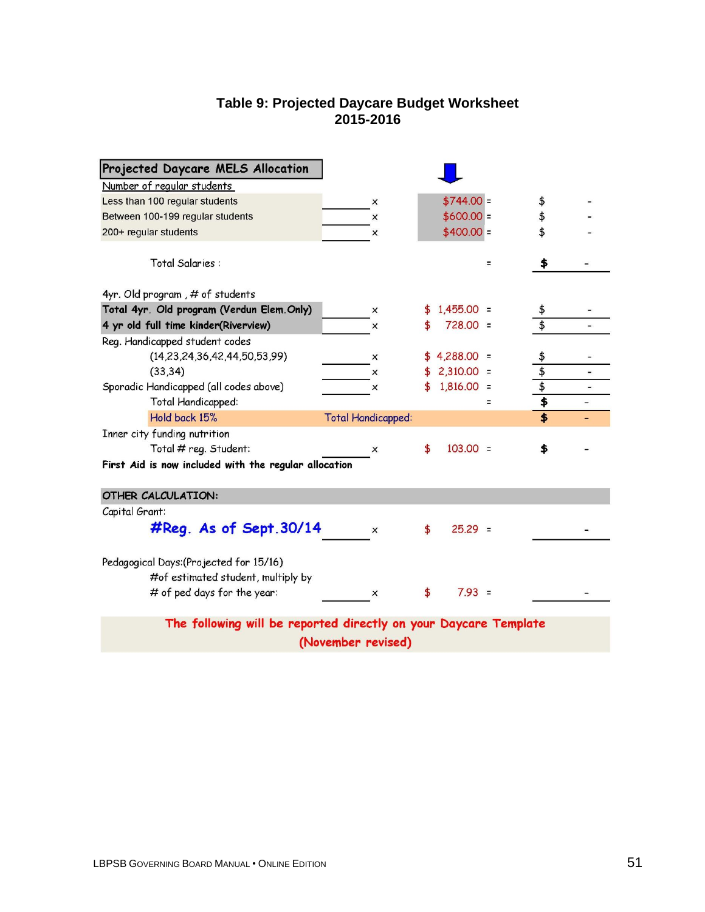#### **Table 9: Projected Daycare Budget Worksheet 2015-2016**

| Projected Daycare MELS Allocation                                                                            |                           |    |              |   |                         |                          |  |  |  |  |
|--------------------------------------------------------------------------------------------------------------|---------------------------|----|--------------|---|-------------------------|--------------------------|--|--|--|--|
| Number of regular students                                                                                   |                           |    |              |   |                         |                          |  |  |  |  |
| Less than 100 regular students                                                                               | $\times$                  |    | $$744.00 =$  |   | \$                      |                          |  |  |  |  |
| Between 100-199 regular students                                                                             | ×                         |    | $$600.00 =$  |   | \$                      |                          |  |  |  |  |
| 200+ regular students                                                                                        | x                         |    | $$400.00 =$  |   | \$                      |                          |  |  |  |  |
| Total Salaries :                                                                                             |                           |    |              | Ξ | \$                      |                          |  |  |  |  |
| 4yr. Old program, # of students                                                                              |                           |    |              |   |                         |                          |  |  |  |  |
| Total 4yr. Old program (Verdun Elem.Only)                                                                    | x                         |    | $1,455.00 =$ |   |                         |                          |  |  |  |  |
| 4 yr old full time kinder(Riverview)                                                                         | $\times$                  |    | $728.00 =$   |   |                         |                          |  |  |  |  |
| Reg. Handicapped student codes                                                                               |                           |    |              |   |                         |                          |  |  |  |  |
| (14, 23, 24, 36, 42, 44, 50, 53, 99)                                                                         | x                         |    | $4,288.00 =$ |   | $\frac{1}{2}$           |                          |  |  |  |  |
| (33, 34)                                                                                                     | x                         |    | $2,310.00 =$ |   |                         | $\overline{\phantom{a}}$ |  |  |  |  |
| Sporadic Handicapped (all codes above)                                                                       | ×                         | \$ | $1,816.00 =$ |   | $\frac{1}{2}$           |                          |  |  |  |  |
| Total Handicapped:                                                                                           |                           |    |              | Ξ | $\overline{\mathbf{F}}$ |                          |  |  |  |  |
| Hold back 15%                                                                                                | <b>Total Handicapped:</b> |    |              |   | \$                      |                          |  |  |  |  |
| Inner city funding nutrition                                                                                 |                           |    |              |   |                         |                          |  |  |  |  |
| Total # reg. Student:                                                                                        | ×                         | \$ | $103.00 =$   |   | \$                      |                          |  |  |  |  |
| First Aid is now included with the regular allocation                                                        |                           |    |              |   |                         |                          |  |  |  |  |
|                                                                                                              |                           |    |              |   |                         |                          |  |  |  |  |
| <b>OTHER CALCULATION:</b>                                                                                    |                           |    |              |   |                         |                          |  |  |  |  |
| Capital Grant:                                                                                               |                           |    |              |   |                         |                          |  |  |  |  |
| $\#Reg.$ As of Sept. 30/14                                                                                   | $\times$                  | \$ | $25.29 =$    |   |                         |                          |  |  |  |  |
| Pedagogical Days: (Projected for 15/16)<br>#of estimated student, multiply by<br># of ped days for the year: | x                         | \$ | $7.93 =$     |   |                         |                          |  |  |  |  |
| The following will be reported directly on your Daycare Template                                             |                           |    |              |   |                         |                          |  |  |  |  |
|                                                                                                              |                           |    |              |   |                         |                          |  |  |  |  |
|                                                                                                              | (November revised)        |    |              |   |                         |                          |  |  |  |  |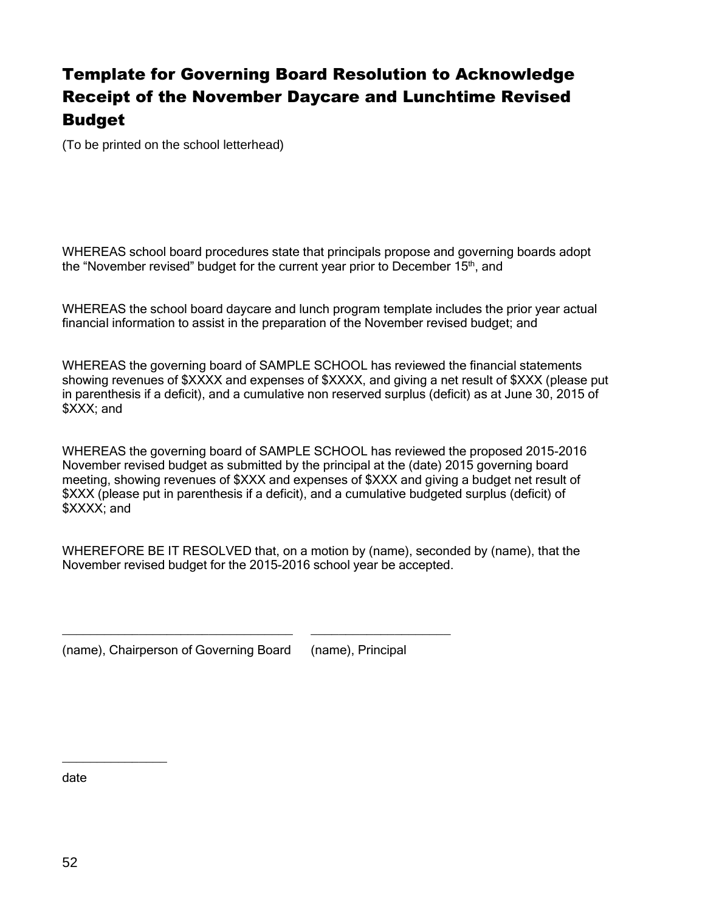# Template for Governing Board Resolution to Acknowledge Receipt of the November Daycare and Lunchtime Revised Budget

(To be printed on the school letterhead)

WHEREAS school board procedures state that principals propose and governing boards adopt the "November revised" budget for the current year prior to December 15<sup>th</sup>, and

WHEREAS the school board daycare and lunch program template includes the prior year actual financial information to assist in the preparation of the November revised budget; and

WHEREAS the governing board of SAMPLE SCHOOL has reviewed the financial statements showing revenues of \$XXXX and expenses of \$XXXX, and giving a net result of \$XXX (please put in parenthesis if a deficit), and a cumulative non reserved surplus (deficit) as at June 30, 2015 of \$XXX; and

WHEREAS the governing board of SAMPLE SCHOOL has reviewed the proposed 2015-2016 November revised budget as submitted by the principal at the (date) 2015 governing board meeting, showing revenues of \$XXX and expenses of \$XXX and giving a budget net result of \$XXX (please put in parenthesis if a deficit), and a cumulative budgeted surplus (deficit) of \$XXXX; and

WHEREFORE BE IT RESOLVED that, on a motion by (name), seconded by (name), that the November revised budget for the 2015-2016 school year be accepted.

(name), Chairperson of Governing Board (name), Principal

\_\_\_\_\_\_\_\_\_\_\_\_\_\_\_\_\_\_\_\_\_\_\_\_\_\_\_\_\_\_\_\_\_ \_\_\_\_\_\_\_\_\_\_\_\_\_\_\_\_\_\_\_\_

date

 $\overline{\phantom{a}}$  , where  $\overline{\phantom{a}}$